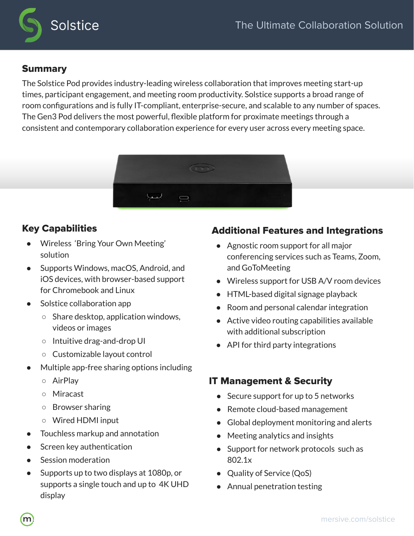

# Summary

The Solstice Pod provides industry-leading wireless collaboration that improves meeting start-up times, participant engagement, and meeting room productivity. Solstice supports a broad range of room configurations and is fully IT-compliant, enterprise-secure, and scalable to any number of spaces. The Gen3 Pod delivers the most powerful, flexible platform for proximate meetings through a consistent and contemporary collaboration experience for every user across every meeting space.



# Key Capabilities

- Wireless 'Bring Your Own Meeting' solution
- Supports Windows, macOS, Android, and iOS devices, with browser-based support for Chromebook and Linux
- Solstice collaboration app
	- Share desktop, application windows, videos or images
	- Intuitive drag-and-drop UI
	- Customizable layout control
- Multiple app-free sharing options including
	- AirPlay
	- Miracast
	- Browser sharing
	- Wired HDMI input
- Touchless markup and annotation
- Screen key authentication
- Session moderation
- Supports up to two displays at 1080p, or supports a single touch and up to 4K UHD display

## Additional Features and Integrations

- Agnostic room support for all major conferencing services such as Teams, Zoom, and GoToMeeting
- Wireless support for USB A/V room devices
- HTML-based digital signage playback
- Room and personal calendar integration
- Active video routing capabilities available with additional subscription
- API for third party integrations

## IT Management & Security

- Secure support for up to 5 networks
- Remote cloud-based management
- Global deployment monitoring and alerts
- Meeting analytics and insights
- Support for network protocols such as 802.1x
- Quality of Service (QoS)
- Annual penetration testing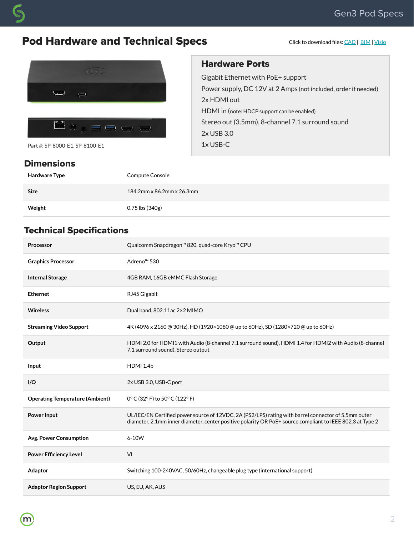# Pod Hardware and Technical Specs

Click to download files: [CAD](https://cdn.brandfolder.io/80TIUEHR/at/qd20d7-6wa88g-9iqgwb/mersive-gen3-solstice-pod_CAD.dwg) | [BIM](https://cdn.brandfolder.io/80TIUEHR/at/qcdvva-ftwiwo-4pveee/Mersive_BIM_files.zip) | [Visio](https://cdn.brandfolder.io/YLVMRULZ/at/brkb54xn5fnrvczbxhtn4/Mersive_Solstice_Pod_9-15-21RM.vsdx)



Part #: SP-8000-E1, SP-8100-E1

#### **Dimensions**

### Hardware Ports

Gigabit Ethernet with PoE+ support Power supply, DC 12V at 2 Amps (not included, order if needed) 2x HDMI out HDMI in (note: HDCP support can be enabled) Stereo out (3.5mm), 8-channel 7.1 surround sound 2x USB 3.0 1x USB-C

| Hardware Type | Compute Console           |
|---------------|---------------------------|
| <b>Size</b>   | 184.2mm x 86.2mm x 26.3mm |
| Weight        | 0.75 lbs (340g)           |

## Technical Specifications

| Processor                              | Qualcomm Snapdragon™ 820, quad-core Kryo™ CPU                                                                                                                                                                    |
|----------------------------------------|------------------------------------------------------------------------------------------------------------------------------------------------------------------------------------------------------------------|
| <b>Graphics Processor</b>              | Adreno <sup>™</sup> 530                                                                                                                                                                                          |
| <b>Internal Storage</b>                | 4GB RAM, 16GB eMMC Flash Storage                                                                                                                                                                                 |
| <b>Ethernet</b>                        | RJ45 Gigabit                                                                                                                                                                                                     |
| <b>Wireless</b>                        | Dual band, 802.11ac 2×2 MIMO                                                                                                                                                                                     |
| <b>Streaming Video Support</b>         | 4K (4096 x 2160 @ 30Hz), HD (1920×1080 @ up to 60Hz), SD (1280×720 @ up to 60Hz)                                                                                                                                 |
| Output                                 | HDMI 2.0 for HDMI1 with Audio (8-channel 7.1 surround sound), HDMI 1.4 for HDMI2 with Audio (8-channel<br>7.1 surround sound), Stereo output                                                                     |
| Input                                  | <b>HDMI 1.4b</b>                                                                                                                                                                                                 |
| I/O                                    | 2x USB 3.0, USB-C port                                                                                                                                                                                           |
| <b>Operating Temperature (Ambient)</b> | 0° C (32° F) to 50° C (122° F)                                                                                                                                                                                   |
| <b>Power Input</b>                     | UL/IEC/EN Certified power source of 12VDC, 2A (PS2/LPS) rating with barrel connector of 5.5mm outer<br>diameter, 2.1mm inner diameter, center positive polarity OR PoE+ source compliant to IEEE 802.3 at Type 2 |
| Avg. Power Consumption                 | 6-10W                                                                                                                                                                                                            |
| <b>Power Efficiency Level</b>          | VI                                                                                                                                                                                                               |
| Adaptor                                | Switching 100-240VAC, 50/60Hz, changeable plug type (international support)                                                                                                                                      |
| <b>Adaptor Region Support</b>          | US, EU, AK, AUS                                                                                                                                                                                                  |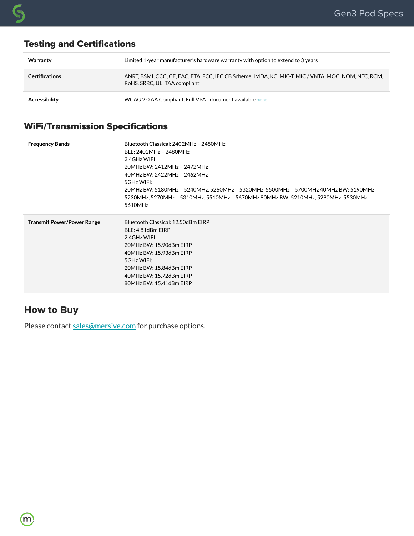# **Warranty** Limited 1-year manufacturer's hardware warranty with option to extend to 3 years **Certifications** ANRT, BSMI, CCC, CE, EAC, ETA, FCC, IEC CB Scheme, IMDA, KC, MIC-T, MIC / VNTA, MOC, NOM, NTC, RCM, RoHS, SRRC, UL, TAA compliant Accessibility **Accessibility** WCAG 2.0 AA Compliant. Full VPAT document available [here.](http://www.mersive.com/mersive-solstice-vpat) Testing and Certifications

#### WiFi/Transmission Specifications

| <b>Frequency Bands</b>            | Bluetooth Classical: 2402MHz - 2480MHz<br>BLE: 2402MHz - 2480MHz<br>2.4GHz WIFI:<br>20MHz BW: 2412MHz - 2472MHz<br>40MHz BW: 2422MHz - 2462MHz<br>5GHz WIFI:<br>20MHz BW: 5180MHz - 5240MHz, 5260MHz - 5320MHz, 5500MHz - 5700MHz 40MHz BW: 5190MHz -<br>5230MHz, 5270MHz - 5310MHz, 5510MHz - 5670MHz 80MHz BW: 5210MHz, 5290MHz, 5530MHz -<br>5610MHz |
|-----------------------------------|---------------------------------------------------------------------------------------------------------------------------------------------------------------------------------------------------------------------------------------------------------------------------------------------------------------------------------------------------------|
| <b>Transmit Power/Power Range</b> | Bluetooth Classical: 12.50dBm EIRP<br>BLE: 4.81dBm EIRP<br>2.4GHz WIFI:<br>20MHz BW: 15.90dBm EIRP<br>40MHz BW: 15.93dBm EIRP<br>5GHz WIFI:<br>20MHz BW: 15.84dBm EIRP<br>40MHz BW: 15.72dBm EIRP<br>80MHz BW: 15.41dBm EIRP                                                                                                                            |

## How to Buy

Please contact [sales@mersive.com](mailto:sales@mersive.com) for purchase options.